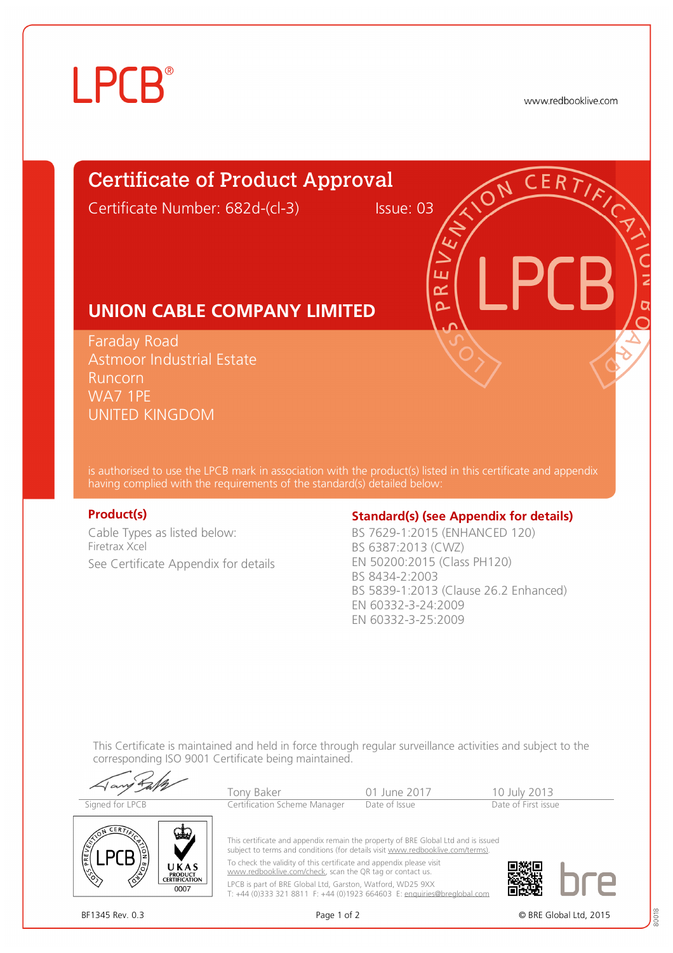# **LPCB**

www.redbooklive.com

# Certificate of Product Approval

Certificate Number: 682d-(cl-3) Issue: 03

ப œ n

## **UNION CABLE COMPANY LIMITED**

Faraday Road Astmoor Industrial Estate Runcorn WA7 1PE UNITED KINGDOM

is authorised to use the LPCB mark in association with the product(s) listed in this certificate and appendix having complied with the requirements of the standard(s) detailed below:

Cable Types as listed below: Firetrax Xcel See Certificate Appendix for details

## **Product(s) Conserversity Standard(s)** (see Appendix for details)

BS 7629-1:2015 (ENHANCED 120) BS 6387:2013 (CWZ) EN 50200:2015 (Class PH120) BS 8434-2:2003 BS 5839-1:2013 (Clause 26.2 Enhanced) EN 60332-3-24:2009 EN 60332-3-25:2009

This Certificate is maintained and held in force through regular surveillance activities and subject to the corresponding ISO 9001 Certificate being maintained.

Tony Baker 101 June 2017 10 July 2013<br>
Tertification Scheme Manager Date of Issue Date of First issue Signed for LPCB Certification Scheme Manager

This certificate and appendix remain the property of BRE Global Ltd and is issued subject to terms and conditions (for details visit [www.redbooklive.com/terms\).](http://www.redbooklive.com/terms))

T: +44 (0)333 321 8811 F: +44 (0)1923 664603 E: [enquiries@breglobal.com](mailto:enquiries@breglobal.com)





To check the validity of this certificate and appendix please visit [www.redbooklive.com/check,](http://www.redbooklive.com/check) scan the QR tag or contact us. LPCB is part of BRE Global Ltd, Garston, Watford, WD25 9XX

BF1345 Rev. 0.3 Page 1 of 2 © BRE Global Ltd, 2015